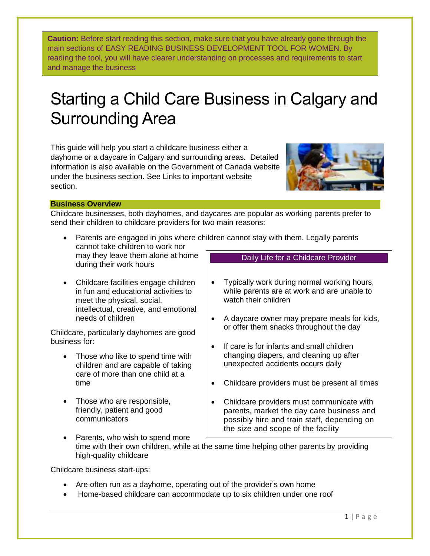**Caution:** Before start reading this section, make sure that you have already gone through the main sections of EASY READING BUSINESS DEVELOPMENT TOOL FOR WOMEN. By reading the tool, you will have clearer understanding on processes and requirements to start and manage the business

## Starting a Child Care Business in Calgary and Surrounding Area

This guide will help you start a childcare business either a dayhome or a daycare in Calgary and surrounding areas. Detailed information is also available on the Government of Canada website under the business section. See Links to important website section.



## **Business Overview**

Childcare businesses, both dayhomes, and daycares are popular as working parents prefer to send their children to childcare providers for two main reasons:

- Parents are engaged in jobs where children cannot stay with them. Legally parents cannot take children to work nor may they leave them alone at home during their work hours Daily Life for a Childcare Provider
- Childcare facilities engage children in fun and educational activities to meet the physical, social, intellectual, creative, and emotional needs of children

Childcare, particularly dayhomes are good business for:

- Those who like to spend time with children and are capable of taking care of more than one child at a time
- Those who are responsible, friendly, patient and good communicators
- Typically work during normal working hours, while parents are at work and are unable to watch their children
- A daycare owner may prepare meals for kids, or offer them snacks throughout the day
- If care is for infants and small children changing diapers, and cleaning up after unexpected accidents occurs daily
- Childcare providers must be present all times
- Childcare providers must communicate with parents, market the day care business and possibly hire and train staff, depending on the size and scope of the facility
- Parents, who wish to spend more time with their own children, while at the same time helping other parents by providing high-quality childcare Each day the childcare must have activities to

Childcare business start-ups:

- Are often run as a dayhome, operating out of the provider's own home
- Home-based childcare can accommodate up to six children under one roof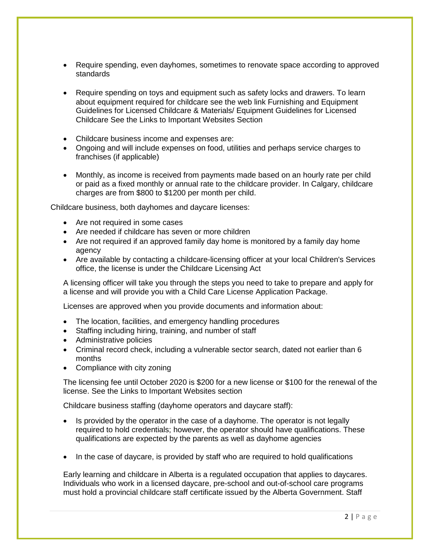- Require spending, even dayhomes, sometimes to renovate space according to approved standards
- Require spending on toys and equipment such as safety locks and drawers. To learn about equipment required for childcare see the web link Furnishing and Equipment Guidelines for Licensed Childcare & Materials/ Equipment Guidelines for Licensed Childcare See the Links to Important Websites Section
- Childcare business income and expenses are:
- Ongoing and will include expenses on food, utilities and perhaps service charges to franchises (if applicable)
- Monthly, as income is received from payments made based on an hourly rate per child or paid as a fixed monthly or annual rate to the childcare provider. In Calgary, childcare charges are from \$800 to \$1200 per month per child.

Childcare business, both dayhomes and daycare licenses:

- Are not required in some cases
- Are needed if childcare has seven or more children
- Are not required if an approved family day home is monitored by a family day home agency
- Are available by contacting a childcare-licensing officer at your local Children's Services office, the license is under the Childcare Licensing Act

A licensing officer will take you through the steps you need to take to prepare and apply for a license and will provide you with a Child Care License Application Package.

Licenses are approved when you provide documents and information about:

- The location, facilities, and emergency handling procedures
- Staffing including hiring, training, and number of staff
- Administrative policies
- Criminal record check, including a vulnerable sector search, dated not earlier than 6 months
- Compliance with city zoning

The licensing fee until October 2020 is \$200 for a new license or \$100 for the renewal of the license. See the Links to Important Websites section

Childcare business staffing (dayhome operators and daycare staff):

- Is provided by the operator in the case of a dayhome. The operator is not legally required to hold credentials; however, the operator should have qualifications. These qualifications are expected by the parents as well as dayhome agencies
- In the case of daycare, is provided by staff who are required to hold qualifications

Early learning and childcare in Alberta is a regulated occupation that applies to daycares. Individuals who work in a licensed daycare, pre-school and out-of-school care programs must hold a provincial childcare staff certificate issued by the Alberta Government. Staff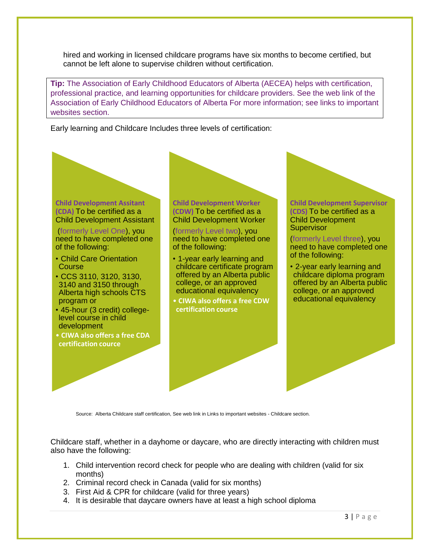hired and working in licensed childcare programs have six months to become certified, but cannot be left alone to supervise children without certification.

**Tip:** The Association of Early Childhood Educators of Alberta (AECEA) helps with certification, professional practice, and learning opportunities for childcare providers. See the web link of the Association of Early Childhood Educators of Alberta For more information; see links to important websites section.

Early learning and Childcare Includes three levels of certification:



(formerly Level One), you need to have completed one of the following:

- Child Care Orientation **Course**
- CCS 3110, 3120, 3130, 3140 and 3150 through Alberta high schools CTS program or
- 45-hour (3 credit) collegelevel course in child development
- **CIWA also offers a free CDA certification cource**

**Child Development Worker (CDW)** To be certified as a Child Development Worker

(formerly Level two), you need to have completed one of the following:

- 1-year early learning and childcare certificate program offered by an Alberta public college, or an approved educational equivalency
- **CIWA also offers a free CDW certification course**



(formerly Level three), you need to have completed one of the following:

• 2-year early learning and childcare diploma program offered by an Alberta public college, or an approved educational equivalency

Source: Alberta Childcare staff certification, See web link in Links to important websites - Childcare section.

Childcare staff, whether in a dayhome or daycare, who are directly interacting with children must also have the following:

- 1. Child intervention record check for people who are dealing with children (valid for six months)
- 2. Criminal record check in Canada (valid for six months)
- 3. First Aid & CPR for childcare (valid for three years)
- 4. It is desirable that daycare owners have at least a high school diploma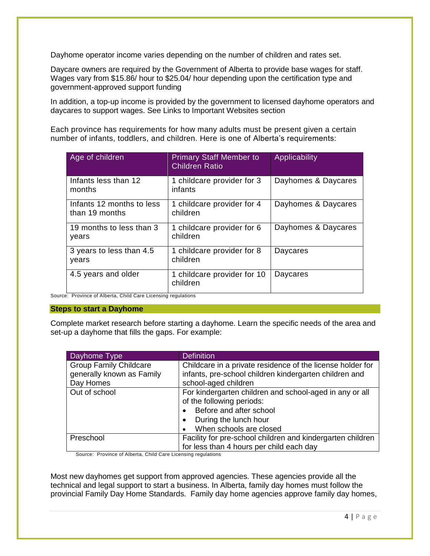Dayhome operator income varies depending on the number of children and rates set.

Daycare owners are required by the Government of Alberta to provide base wages for staff. Wages vary from \$15.86/ hour to \$25.04/ hour depending upon the certification type and government-approved support funding

In addition, a top-up income is provided by the government to licensed dayhome operators and daycares to support wages. See Links to Important Websites section

Each province has requirements for how many adults must be present given a certain number of infants, toddlers, and children. Here is one of Alberta's requirements:

| Age of children                             | <b>Primary Staff Member to</b><br><b>Children Ratio</b> | Applicability       |
|---------------------------------------------|---------------------------------------------------------|---------------------|
| Infants less than 12<br>months              | 1 childcare provider for 3<br>infants                   | Dayhomes & Daycares |
| Infants 12 months to less<br>than 19 months | 1 childcare provider for 4<br>children                  | Dayhomes & Daycares |
| 19 months to less than 3<br>years           | 1 childcare provider for 6<br>children                  | Dayhomes & Daycares |
| 3 years to less than 4.5<br>years           | 1 childcare provider for 8<br>children                  | Daycares            |
| 4.5 years and older                         | 1 childcare provider for 10<br>children                 | Daycares            |

Source: Province of Alberta, Child Care Licensing regulations

## **Steps to start a Dayhome**

Complete market research before starting a dayhome. Learn the specific needs of the area and set-up a dayhome that fills the gaps. For example:

| Dayhome Type                  | <b>Definition</b>                                          |  |
|-------------------------------|------------------------------------------------------------|--|
| <b>Group Family Childcare</b> | Childcare in a private residence of the license holder for |  |
| generally known as Family     | infants, pre-school children kindergarten children and     |  |
| Day Homes                     | school-aged children                                       |  |
| Out of school                 | For kindergarten children and school-aged in any or all    |  |
|                               | of the following periods:                                  |  |
|                               | Before and after school                                    |  |
|                               | During the lunch hour<br>٠                                 |  |
|                               | When schools are closed                                    |  |
| Preschool                     | Facility for pre-school children and kindergarten children |  |
|                               | for less than 4 hours per child each day                   |  |

Source: Province of Alberta, Child Care Licensing regulations

Most new dayhomes get support from approved agencies. These agencies provide all the technical and legal support to start a business. In Alberta, family day homes must follow the provincial Family Day Home Standards. Family day home agencies approve family day homes,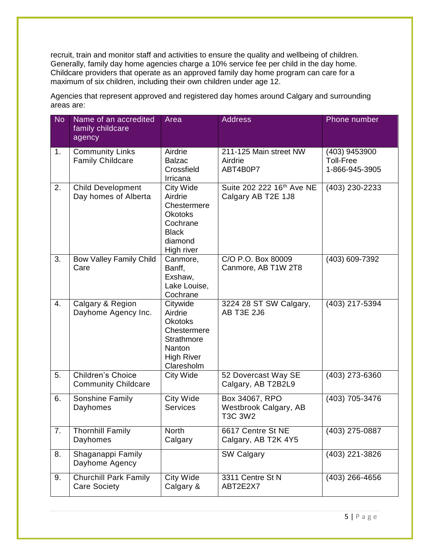recruit, train and monitor staff and activities to ensure the quality and wellbeing of children. Generally, family day home agencies charge a 10% service fee per child in the day home. Childcare providers that operate as an approved family day home program can care for a maximum of six children, including their own children under age 12.

| <b>No</b>        | Name of an accredited<br>family childcare<br>agency    | Area                                                                                                                   | <b>Address</b>                                              | Phone number                                        |
|------------------|--------------------------------------------------------|------------------------------------------------------------------------------------------------------------------------|-------------------------------------------------------------|-----------------------------------------------------|
| 1.               | <b>Community Links</b><br><b>Family Childcare</b>      | Airdrie<br><b>Balzac</b><br>Crossfield<br>Irricana                                                                     | 211-125 Main street NW<br>Airdrie<br>ABT4B0P7               | (403) 9453900<br><b>Toll-Free</b><br>1-866-945-3905 |
| 2.               | <b>Child Development</b><br>Day homes of Alberta       | <b>City Wide</b><br>Airdrie<br>Chestermere<br><b>Okotoks</b><br>Cochrane<br><b>Black</b><br>diamond<br>High river      | Suite 202 222 16 <sup>th</sup> Ave NE<br>Calgary AB T2E 1J8 | (403) 230-2233                                      |
| 3.               | <b>Bow Valley Family Child</b><br>Care                 | Canmore,<br>Banff,<br>Exshaw,<br>Lake Louise,<br>Cochrane                                                              | C/O P.O. Box 80009<br>Canmore, AB T1W 2T8                   | (403) 609-7392                                      |
| $\overline{4}$ . | Calgary & Region<br>Dayhome Agency Inc.                | Citywide<br>Airdrie<br><b>Okotoks</b><br>Chestermere<br><b>Strathmore</b><br>Nanton<br><b>High River</b><br>Claresholm | 3224 28 ST SW Calgary,<br>AB T3E 2J6                        | (403) 217-5394                                      |
| 5.               | <b>Children's Choice</b><br><b>Community Childcare</b> | <b>City Wide</b>                                                                                                       | 52 Dovercast Way SE<br>Calgary, AB T2B2L9                   | (403) 273-6360                                      |
| 6.               | <b>Sonshine Family</b><br>Dayhomes                     | City Wide<br><b>Services</b>                                                                                           | Box 34067, RPO<br>Westbrook Calgary, AB<br><b>T3C 3W2</b>   | (403) 705-3476                                      |
| 7.               | <b>Thornhill Family</b><br>Dayhomes                    | North<br>Calgary                                                                                                       | 6617 Centre St NE<br>Calgary, AB T2K 4Y5                    | (403) 275-0887                                      |
| 8.               | Shaganappi Family<br>Dayhome Agency                    |                                                                                                                        | <b>SW Calgary</b>                                           | (403) 221-3826                                      |
| 9.               | <b>Churchill Park Family</b><br><b>Care Society</b>    | City Wide<br>Calgary &                                                                                                 | 3311 Centre St N<br>ABT2E2X7                                | (403) 266-4656                                      |

Agencies that represent approved and registered day homes around Calgary and surrounding areas are: